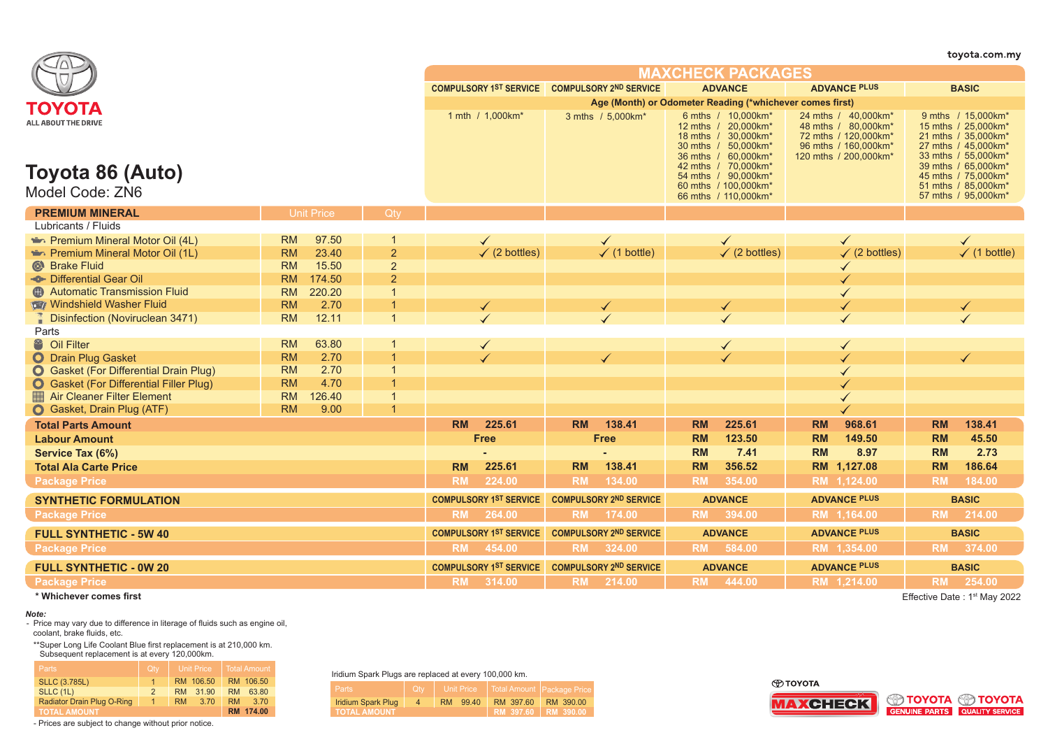|                                                                             |           |                   |                          |                               |                                                                 |              |                               |                     |                                                                                                                                                                                                                 |              |                                                                                                                      |                         | toyota.com.my                                                                                                                                                                                              |
|-----------------------------------------------------------------------------|-----------|-------------------|--------------------------|-------------------------------|-----------------------------------------------------------------|--------------|-------------------------------|---------------------|-----------------------------------------------------------------------------------------------------------------------------------------------------------------------------------------------------------------|--------------|----------------------------------------------------------------------------------------------------------------------|-------------------------|------------------------------------------------------------------------------------------------------------------------------------------------------------------------------------------------------------|
|                                                                             |           |                   | <b>MAXCHECK PACKAGES</b> |                               |                                                                 |              |                               |                     |                                                                                                                                                                                                                 |              |                                                                                                                      |                         |                                                                                                                                                                                                            |
|                                                                             |           |                   |                          |                               | COMPULSORY 1ST SERVICE COMPULSORY 2ND SERVICE<br><b>ADVANCE</b> |              |                               | <b>ADVANCE PLUS</b> |                                                                                                                                                                                                                 | <b>BASIC</b> |                                                                                                                      |                         |                                                                                                                                                                                                            |
|                                                                             |           |                   |                          |                               | Age (Month) or Odometer Reading (*whichever comes first)        |              |                               |                     |                                                                                                                                                                                                                 |              |                                                                                                                      |                         |                                                                                                                                                                                                            |
| ΤΟΥΟΤΑ<br><b>ALL ABOUT THE DRIVE</b><br>Toyota 86 (Auto)<br>Model Code: ZN6 |           |                   |                          |                               | 1 mth / 1,000km*                                                |              | 3 mths / 5,000km*             |                     | 6 mths / 10,000 km*<br>12 mths / 20,000 km*<br>18 mths / 30.000 km*<br>30 mths / 50,000km*<br>36 mths / 60,000km*<br>42 mths / 70,000km*<br>54 mths / 90,000km*<br>60 mths / 100,000km*<br>66 mths / 110,000km* |              | 24 mths / 40,000km*<br>48 mths / 80,000km*<br>72 mths / 120,000 km*<br>96 mths / 160,000km*<br>120 mths / 200,000km* |                         | 9 mths / 15,000km*<br>15 mths / 25,000km*<br>21 mths / 35.000km*<br>27 mths / 45,000km*<br>33 mths / 55,000km*<br>39 mths / 65,000km*<br>45 mths / 75,000km*<br>51 mths / 85,000km*<br>57 mths / 95,000km* |
| <b>PREMIUM MINERAL</b>                                                      |           | <b>Unit Price</b> | Qty                      |                               |                                                                 |              |                               |                     |                                                                                                                                                                                                                 |              |                                                                                                                      |                         |                                                                                                                                                                                                            |
| Lubricants / Fluids                                                         |           |                   |                          |                               |                                                                 |              |                               |                     |                                                                                                                                                                                                                 |              |                                                                                                                      |                         |                                                                                                                                                                                                            |
| Premium Mineral Motor Oil (4L)                                              | RM        | 97.50             | 1                        |                               | $\checkmark$                                                    |              |                               |                     | $\checkmark$                                                                                                                                                                                                    |              |                                                                                                                      |                         | $\checkmark$                                                                                                                                                                                               |
| Premium Mineral Motor Oil (1L)                                              | <b>RM</b> | 23.40             | $\overline{2}$           |                               | $(2 \text{ bottles})$                                           |              | $\checkmark$ (1 bottle)       |                     | $\checkmark$ (2 bottles)                                                                                                                                                                                        |              | $\checkmark$ (2 bottles)                                                                                             | $\checkmark$ (1 bottle) |                                                                                                                                                                                                            |
| Strake Fluid                                                                | <b>RM</b> | 15.50             | $\overline{2}$           |                               |                                                                 |              |                               |                     |                                                                                                                                                                                                                 |              |                                                                                                                      |                         |                                                                                                                                                                                                            |
| <b>So-Differential Gear Oil</b>                                             | <b>RM</b> | 174.50            | $\overline{2}$           |                               |                                                                 |              |                               |                     |                                                                                                                                                                                                                 |              |                                                                                                                      |                         |                                                                                                                                                                                                            |
| <b>C</b> Automatic Transmission Fluid                                       | <b>RM</b> | 220.20            | $\mathbf{1}$             |                               |                                                                 |              |                               |                     |                                                                                                                                                                                                                 |              |                                                                                                                      |                         |                                                                                                                                                                                                            |
| Windshield Washer Fluid                                                     | <b>RM</b> | 2.70              | 1                        | ✓                             |                                                                 |              | $\blacktriangledown$          | ✓                   |                                                                                                                                                                                                                 |              |                                                                                                                      |                         | $\blacktriangleleft$                                                                                                                                                                                       |
| <b>Disinfection (Noviruclean 3471)</b>                                      | <b>RM</b> | 12.11             | $\mathbf{1}$             |                               |                                                                 |              |                               |                     |                                                                                                                                                                                                                 |              |                                                                                                                      |                         |                                                                                                                                                                                                            |
| Parts                                                                       |           |                   |                          |                               |                                                                 |              |                               |                     |                                                                                                                                                                                                                 |              |                                                                                                                      |                         |                                                                                                                                                                                                            |
| <sup>8</sup> Oil Filter                                                     | <b>RM</b> | 63.80             | -1                       |                               | $\checkmark$                                                    |              |                               |                     | $\checkmark$                                                                                                                                                                                                    |              | $\checkmark$                                                                                                         |                         |                                                                                                                                                                                                            |
| <b>O</b> Drain Plug Gasket                                                  | <b>RM</b> | 2.70              | $\mathbf{1}$             |                               | L                                                               | $\checkmark$ |                               |                     | $\checkmark$                                                                                                                                                                                                    |              |                                                                                                                      |                         |                                                                                                                                                                                                            |
| <b>O</b> Gasket (For Differential Drain Plug)                               | <b>RM</b> | 2.70              | $\mathbf{1}$             |                               |                                                                 |              |                               |                     |                                                                                                                                                                                                                 |              |                                                                                                                      |                         |                                                                                                                                                                                                            |
| <b>O</b> Gasket (For Differential Filler Plug)                              | <b>RM</b> | 4.70              | $\mathbf{1}$             |                               |                                                                 |              |                               |                     |                                                                                                                                                                                                                 |              |                                                                                                                      |                         |                                                                                                                                                                                                            |
| Air Cleaner Filter Element                                                  | <b>RM</b> | 126.40            | $\mathbf{1}$             |                               |                                                                 |              |                               |                     |                                                                                                                                                                                                                 |              |                                                                                                                      |                         |                                                                                                                                                                                                            |
| Gasket, Drain Plug (ATF)                                                    | <b>RM</b> | 9.00              | $\overline{1}$           |                               |                                                                 |              |                               |                     |                                                                                                                                                                                                                 |              |                                                                                                                      |                         |                                                                                                                                                                                                            |
| <b>Total Parts Amount</b>                                                   |           |                   |                          | <b>RM</b>                     | 225.61                                                          | <b>RM</b>    | 138.41                        | <b>RM</b>           | 225.61                                                                                                                                                                                                          | <b>RM</b>    | 968.61                                                                                                               | <b>RM</b>               | 138.41                                                                                                                                                                                                     |
| <b>Labour Amount</b>                                                        |           |                   |                          |                               | <b>Free</b>                                                     |              | <b>Free</b>                   | <b>RM</b>           | 123.50                                                                                                                                                                                                          | <b>RM</b>    | 149.50                                                                                                               | <b>RM</b>               | 45.50                                                                                                                                                                                                      |
| Service Tax (6%)                                                            |           |                   |                          |                               |                                                                 |              |                               | <b>RM</b>           | 7.41                                                                                                                                                                                                            | <b>RM</b>    | 8.97                                                                                                                 | <b>RM</b>               | 2.73                                                                                                                                                                                                       |
| <b>Total Ala Carte Price</b>                                                |           |                   |                          | <b>RM</b>                     | 225.61                                                          | <b>RM</b>    | 138.41                        | <b>RM</b>           | 356.52                                                                                                                                                                                                          |              | RM 1,127.08                                                                                                          | <b>RM</b>               | 186.64                                                                                                                                                                                                     |
| <b>Package Price</b>                                                        |           |                   |                          | <b>RM</b>                     | 224.00                                                          | <b>RM</b>    | 134.00                        | <b>RM</b>           | 354.00                                                                                                                                                                                                          |              | RM 1,124.00                                                                                                          | <b>RM</b>               | 184.00                                                                                                                                                                                                     |
| <b>SYNTHETIC FORMULATION</b>                                                |           |                   |                          |                               | <b>COMPULSORY 1ST SERVICE</b>                                   |              | <b>COMPULSORY 2ND SERVICE</b> |                     | <b>ADVANCE</b>                                                                                                                                                                                                  |              | <b>ADVANCE PLUS</b>                                                                                                  |                         | <b>BASIC</b>                                                                                                                                                                                               |
| <b>Package Price</b>                                                        |           |                   |                          |                               | RM 264.00                                                       |              | RM 174.00                     |                     | RM 394.00                                                                                                                                                                                                       |              | RM 1,164.00                                                                                                          |                         | RM 214.00                                                                                                                                                                                                  |
| <b>FULL SYNTHETIC - 5W 40</b>                                               |           |                   |                          | <b>COMPULSORY 1ST SERVICE</b> | <b>COMPULSORY 2ND SERVICE</b>                                   |              | <b>ADVANCE</b>                |                     | <b>ADVANCE PLUS</b>                                                                                                                                                                                             |              |                                                                                                                      | <b>BASIC</b>            |                                                                                                                                                                                                            |
| <b>Package Price</b>                                                        |           |                   |                          |                               | RM 454.00                                                       |              | RM 324.00                     |                     | RM 584.00                                                                                                                                                                                                       |              | RM 1,354.00                                                                                                          |                         | RM 374.00                                                                                                                                                                                                  |
| <b>FULL SYNTHETIC - 0W 20</b>                                               |           |                   |                          |                               | <b>COMPULSORY 1ST SERVICE</b>                                   |              | <b>COMPULSORY 2ND SERVICE</b> |                     | <b>ADVANCE</b>                                                                                                                                                                                                  |              | <b>ADVANCE PLUS</b>                                                                                                  |                         | <b>BASIC</b>                                                                                                                                                                                               |
| <b>Package Price</b>                                                        |           |                   |                          | <b>RM</b>                     | 314.00                                                          | <b>RM</b>    | 214.00                        | <b>RM</b>           | 444.00                                                                                                                                                                                                          |              | RM 1,214.00                                                                                                          | <b>RM</b>               | 254.00                                                                                                                                                                                                     |
| * Whichever comes first                                                     |           |                   |                          |                               |                                                                 |              |                               |                     |                                                                                                                                                                                                                 |              |                                                                                                                      |                         | Effective Date: 1 <sup>st</sup> May 2022                                                                                                                                                                   |

*Note:*

- Price may vary due to difference in literage of fluids such as engine oil, coolant, brake fluids, etc.

\*\*Super Long Life Coolant Blue first replacement is at 210,000 km. Subsequent replacement is at every 120,000km.

| <b>Parts</b>               | Qty           |     | <b>Unit Price</b> |           | <b>Total Amount</b> |
|----------------------------|---------------|-----|-------------------|-----------|---------------------|
| <b>SLLC (3.785L)</b>       | 1.            |     | RM 106.50         |           | RM 106.50           |
| <b>SLLC (1L)</b>           | $\mathcal{P}$ | RM. | 31.90             | RM        | 63.80               |
| Radiator Drain Plug O-Ring | $\sim$        | RM  | 3.70              | <b>RM</b> | 3.70                |
| <b>TOTAL AMOUNT</b>        |               |     |                   |           | RM 174.00           |

- Prices are subject to change without prior notice.

Iridium Spark Plugs are replaced at every 100,000 km.

| Parts                     | Qtv | <b>Unit Price</b> | T Total Amount Package Price |           |
|---------------------------|-----|-------------------|------------------------------|-----------|
| <b>Iridium Spark Plug</b> |     | RM 99.40          | RM 397.60                    | RM 390.00 |
| <b>TOTAL AMOUNT</b>       |     |                   | RM 397.60 RM 390.00          |           |

⊕тоүотд